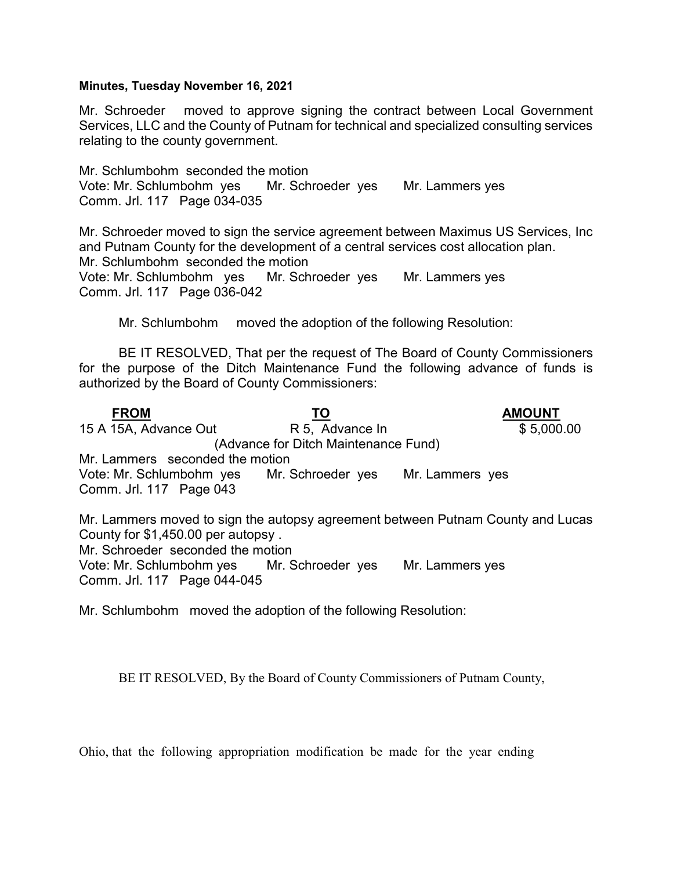## Minutes, Tuesday November 16, 2021

Mr. Schroeder moved to approve signing the contract between Local Government Services, LLC and the County of Putnam for technical and specialized consulting services relating to the county government.

Mr. Schlumbohm seconded the motion Vote: Mr. Schlumbohm yes Mr. Schroeder yes Mr. Lammers yes Comm. Jrl. 117 Page 034-035

Mr. Schroeder moved to sign the service agreement between Maximus US Services, Inc and Putnam County for the development of a central services cost allocation plan. Mr. Schlumbohm seconded the motion Vote: Mr. Schlumbohm yes Mr. Schroeder yes Mr. Lammers yes Comm. Jrl. 117 Page 036-042

Mr. Schlumbohm moved the adoption of the following Resolution:

 BE IT RESOLVED, That per the request of The Board of County Commissioners for the purpose of the Ditch Maintenance Fund the following advance of funds is authorized by the Board of County Commissioners:

FROM TO TO AMOUNT 15 A 15A, Advance Out R 5, Advance In \$ 5,000.00 (Advance for Ditch Maintenance Fund) Mr. Lammers seconded the motion Vote: Mr. Schlumbohm yes Mr. Schroeder yes Mr. Lammers yes Comm. Jrl. 117 Page 043 Mr. Lammers moved to sign the autopsy agreement between Putnam County and Lucas County for \$1,450.00 per autopsy . Mr. Schroeder seconded the motion Vote: Mr. Schlumbohm yes Mr. Schroeder yes Mr. Lammers yes Comm. Jrl. 117 Page 044-045

Mr. Schlumbohm moved the adoption of the following Resolution:

BE IT RESOLVED, By the Board of County Commissioners of Putnam County,

Ohio, that the following appropriation modification be made for the year ending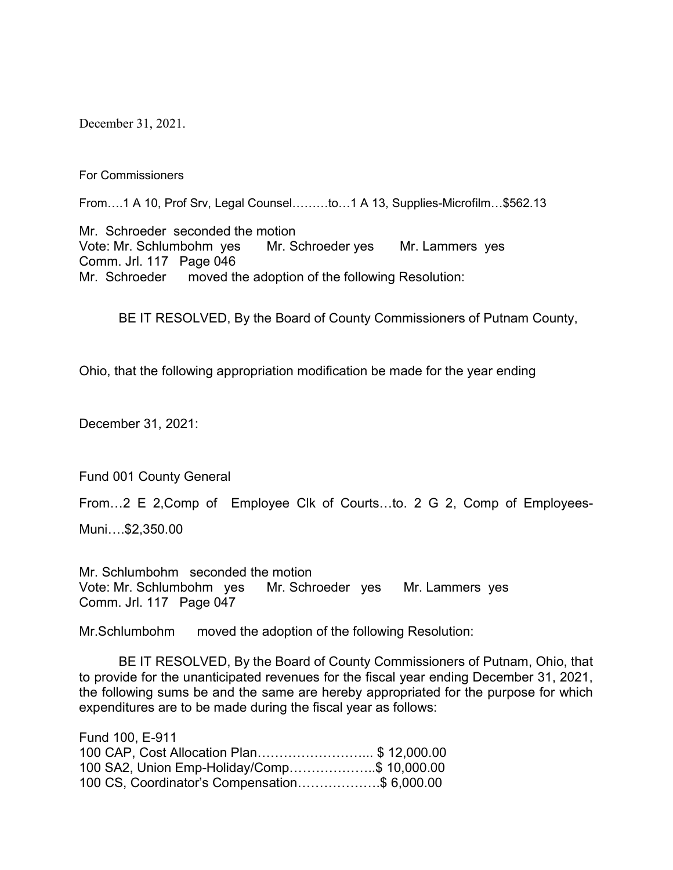December 31, 2021.

For Commissioners

From….1 A 10, Prof Srv, Legal Counsel………to…1 A 13, Supplies-Microfilm…\$562.13

Mr. Schroeder seconded the motion Vote: Mr. Schlumbohm yes Mr. Schroeder yes Mr. Lammers yes Comm. Jrl. 117 Page 046 Mr. Schroeder moved the adoption of the following Resolution:

BE IT RESOLVED, By the Board of County Commissioners of Putnam County,

Ohio, that the following appropriation modification be made for the year ending

December 31, 2021:

Fund 001 County General

From…2 E 2,Comp of Employee Clk of Courts…to. 2 G 2, Comp of Employees-

Muni….\$2,350.00

Mr. Schlumbohm seconded the motion Vote: Mr. Schlumbohm yes Mr. Schroeder yes Mr. Lammers yes Comm. Jrl. 117 Page 047

Mr.Schlumbohm moved the adoption of the following Resolution:

 BE IT RESOLVED, By the Board of County Commissioners of Putnam, Ohio, that to provide for the unanticipated revenues for the fiscal year ending December 31, 2021, the following sums be and the same are hereby appropriated for the purpose for which expenditures are to be made during the fiscal year as follows:

| Fund 100, E-911                               |  |
|-----------------------------------------------|--|
| 100 CAP, Cost Allocation Plan\$ 12,000.00     |  |
| 100 SA2, Union Emp-Holiday/Comp\$ 10,000.00   |  |
| 100 CS, Coordinator's Compensation\$ 6,000.00 |  |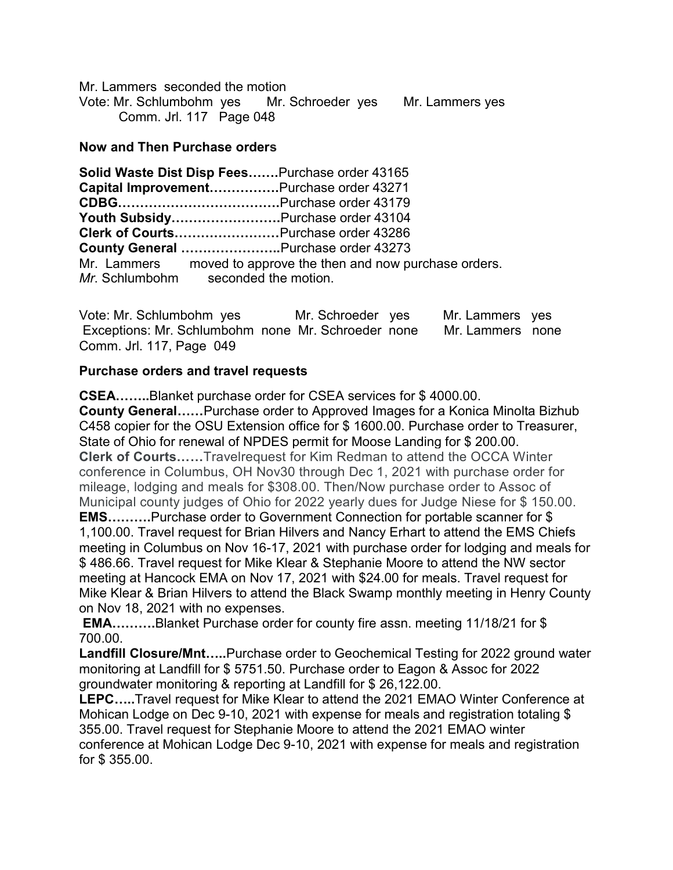Mr. Lammers seconded the motion Vote: Mr. Schlumbohm yes Mr. Schroeder yes Mr. Lammers yes Comm. Jrl. 117 Page 048

## Now and Then Purchase orders

| Solid Waste Dist Disp FeesPurchase order 43165                 |
|----------------------------------------------------------------|
| Capital ImprovementPurchase order 43271                        |
|                                                                |
| Youth SubsidyPurchase order 43104                              |
| Clerk of CourtsPurchase order 43286                            |
| County General Purchase order 43273                            |
| Mr. Lammers moved to approve the then and now purchase orders. |
| Mr. Schlumbohm seconded the motion.                            |

Vote: Mr. Schlumbohm yes Mr. Schroeder yes Mr. Lammers yes Exceptions: Mr. Schlumbohm none Mr. Schroeder none Mr. Lammers none Comm. Jrl. 117, Page 049

## Purchase orders and travel requests

CSEA……..Blanket purchase order for CSEA services for \$ 4000.00. County General……Purchase order to Approved Images for a Konica Minolta Bizhub C458 copier for the OSU Extension office for \$ 1600.00. Purchase order to Treasurer, State of Ohio for renewal of NPDES permit for Moose Landing for \$ 200.00. Clerk of Courts……Travelrequest for Kim Redman to attend the OCCA Winter conference in Columbus, OH Nov30 through Dec 1, 2021 with purchase order for mileage, lodging and meals for \$308.00. Then/Now purchase order to Assoc of Municipal county judges of Ohio for 2022 yearly dues for Judge Niese for \$ 150.00. EMS……….Purchase order to Government Connection for portable scanner for \$ 1,100.00. Travel request for Brian Hilvers and Nancy Erhart to attend the EMS Chiefs meeting in Columbus on Nov 16-17, 2021 with purchase order for lodging and meals for \$ 486.66. Travel request for Mike Klear & Stephanie Moore to attend the NW sector meeting at Hancock EMA on Nov 17, 2021 with \$24.00 for meals. Travel request for Mike Klear & Brian Hilvers to attend the Black Swamp monthly meeting in Henry County on Nov 18, 2021 with no expenses.

EMA……….Blanket Purchase order for county fire assn. meeting 11/18/21 for \$ 700.00.

Landfill Closure/Mnt.....Purchase order to Geochemical Testing for 2022 ground water monitoring at Landfill for \$ 5751.50. Purchase order to Eagon & Assoc for 2022 groundwater monitoring & reporting at Landfill for \$ 26,122.00.

LEPC…..Travel request for Mike Klear to attend the 2021 EMAO Winter Conference at Mohican Lodge on Dec 9-10, 2021 with expense for meals and registration totaling \$ 355.00. Travel request for Stephanie Moore to attend the 2021 EMAO winter conference at Mohican Lodge Dec 9-10, 2021 with expense for meals and registration for \$ 355.00.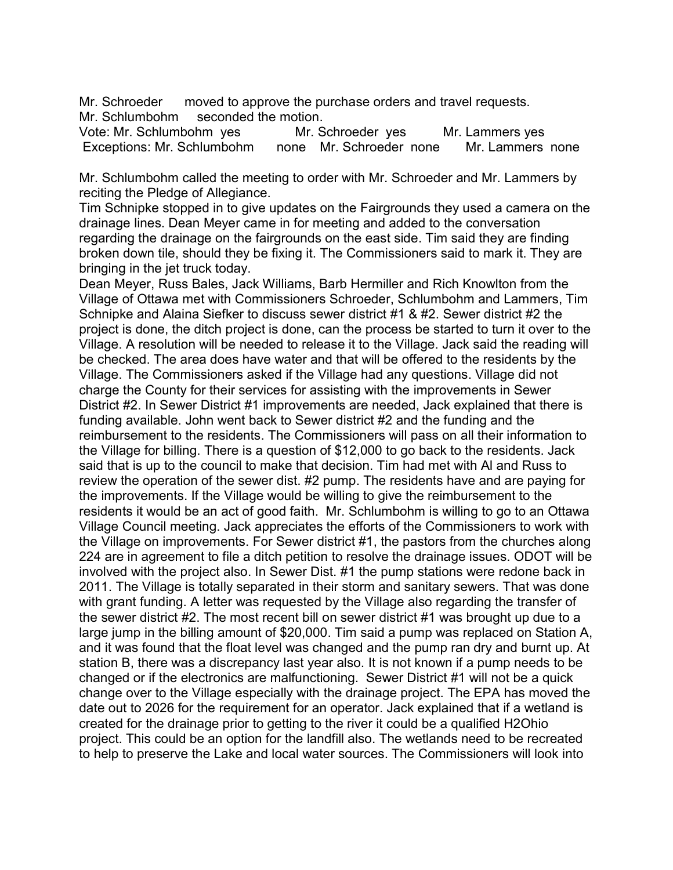Mr. Schroeder moved to approve the purchase orders and travel requests. Mr. Schlumbohm seconded the motion.

Vote: Mr. Schlumbohm yes Mr. Schroeder yes Mr. Lammers yes Exceptions: Mr. Schlumbohm none Mr. Schroeder none Mr. Lammers none

Mr. Schlumbohm called the meeting to order with Mr. Schroeder and Mr. Lammers by reciting the Pledge of Allegiance.

Tim Schnipke stopped in to give updates on the Fairgrounds they used a camera on the drainage lines. Dean Meyer came in for meeting and added to the conversation regarding the drainage on the fairgrounds on the east side. Tim said they are finding broken down tile, should they be fixing it. The Commissioners said to mark it. They are bringing in the jet truck today.

Dean Meyer, Russ Bales, Jack Williams, Barb Hermiller and Rich Knowlton from the Village of Ottawa met with Commissioners Schroeder, Schlumbohm and Lammers, Tim Schnipke and Alaina Siefker to discuss sewer district #1 & #2. Sewer district #2 the project is done, the ditch project is done, can the process be started to turn it over to the Village. A resolution will be needed to release it to the Village. Jack said the reading will be checked. The area does have water and that will be offered to the residents by the Village. The Commissioners asked if the Village had any questions. Village did not charge the County for their services for assisting with the improvements in Sewer District #2. In Sewer District #1 improvements are needed, Jack explained that there is funding available. John went back to Sewer district #2 and the funding and the reimbursement to the residents. The Commissioners will pass on all their information to the Village for billing. There is a question of \$12,000 to go back to the residents. Jack said that is up to the council to make that decision. Tim had met with Al and Russ to review the operation of the sewer dist. #2 pump. The residents have and are paying for the improvements. If the Village would be willing to give the reimbursement to the residents it would be an act of good faith. Mr. Schlumbohm is willing to go to an Ottawa Village Council meeting. Jack appreciates the efforts of the Commissioners to work with the Village on improvements. For Sewer district #1, the pastors from the churches along 224 are in agreement to file a ditch petition to resolve the drainage issues. ODOT will be involved with the project also. In Sewer Dist. #1 the pump stations were redone back in 2011. The Village is totally separated in their storm and sanitary sewers. That was done with grant funding. A letter was requested by the Village also regarding the transfer of the sewer district #2. The most recent bill on sewer district #1 was brought up due to a large jump in the billing amount of \$20,000. Tim said a pump was replaced on Station A, and it was found that the float level was changed and the pump ran dry and burnt up. At station B, there was a discrepancy last year also. It is not known if a pump needs to be changed or if the electronics are malfunctioning. Sewer District #1 will not be a quick change over to the Village especially with the drainage project. The EPA has moved the date out to 2026 for the requirement for an operator. Jack explained that if a wetland is created for the drainage prior to getting to the river it could be a qualified H2Ohio project. This could be an option for the landfill also. The wetlands need to be recreated to help to preserve the Lake and local water sources. The Commissioners will look into